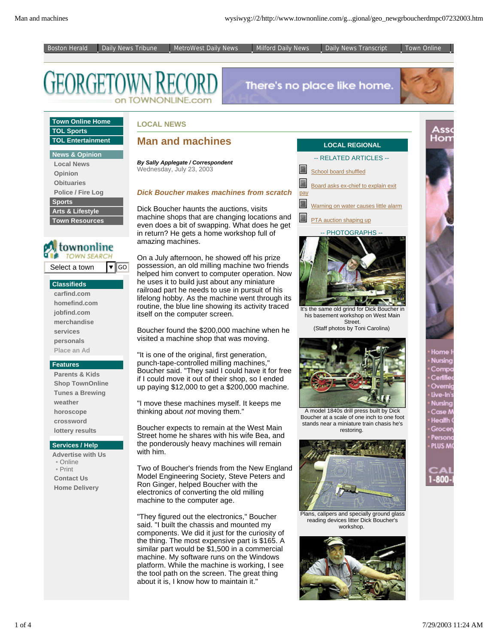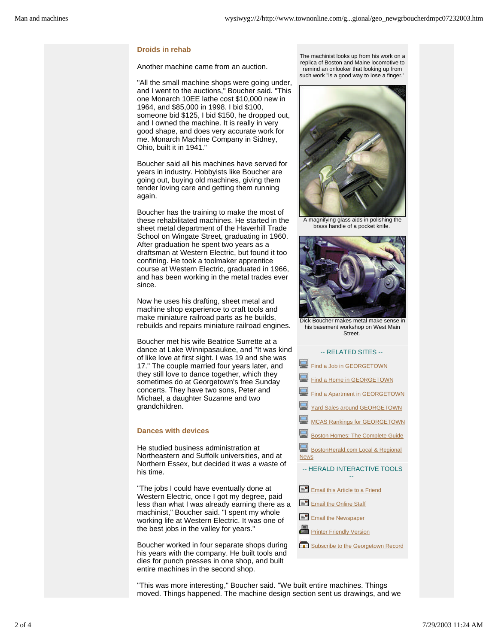## **Droids in rehab**

Another machine came from an auction.

"All the small machine shops were going under, and I went to the auctions," Boucher said. "This one Monarch 10EE lathe cost \$10,000 new in 1964, and \$85,000 in 1998. I bid \$100, someone bid \$125, I bid \$150, he dropped out, and I owned the machine. It is really in very good shape, and does very accurate work for me. Monarch Machine Company in Sidney, Ohio, built it in 1941."

Boucher said all his machines have served for years in industry. Hobbyists like Boucher are going out, buying old machines, giving them tender loving care and getting them running again.

Boucher has the training to make the most of these rehabilitated machines. He started in the sheet metal department of the Haverhill Trade School on Wingate Street, graduating in 1960. After graduation he spent two years as a draftsman at Western Electric, but found it too confining. He took a toolmaker apprentice course at Western Electric, graduated in 1966, and has been working in the metal trades ever since.

Now he uses his drafting, sheet metal and machine shop experience to craft tools and make miniature railroad parts as he builds, rebuilds and repairs miniature railroad engines.

Boucher met his wife Beatrice Surrette at a dance at Lake Winnipasaukee, and "It was kind of like love at first sight. I was 19 and she was 17." The couple married four years later, and they still love to dance together, which they sometimes do at Georgetown's free Sunday concerts. They have two sons, Peter and Michael, a daughter Suzanne and two grandchildren.

## **Dances with devices**

He studied business administration at Northeastern and Suffolk universities, and at Northern Essex, but decided it was a waste of his time.

"The jobs I could have eventually done at Western Electric, once I got my degree, paid less than what I was already earning there as a machinist," Boucher said. "I spent my whole working life at Western Electric. It was one of the best jobs in the valley for years."

Boucher worked in four separate shops during his years with the company. He built tools and dies for punch presses in one shop, and built entire machines in the second shop.

The machinist looks up from his work on a replica of Boston and Maine locomotive to remind an onlooker that looking up from such work "is a good way to lose a finger.'



A magnifying glass aids in polishing the brass handle of a pocket knife.



his basement workshop on West Main Street.

## -- RELATED SITES --

- Find a Job in GEORGETOWN
- Find a Home in GEORGETOWN
- Find a Apartment in GEORGETOWN
- Yard Sales around GEORGETOWN
- MCAS Rankings for GEORGETOWN
- Boston Homes: The Complete Guide
- BostonHerald.com Local & Regional News

-- HERALD INTERACTIVE TOOLS --

- $\equiv$  Email this Article to a Friend
- Email the Online Staff
- Email the Newspaper
- **Printer Friendly Version**
- Subscribe to the Georgetown Record

"This was more interesting," Boucher said. "We built entire machines. Things moved. Things happened. The machine design section sent us drawings, and we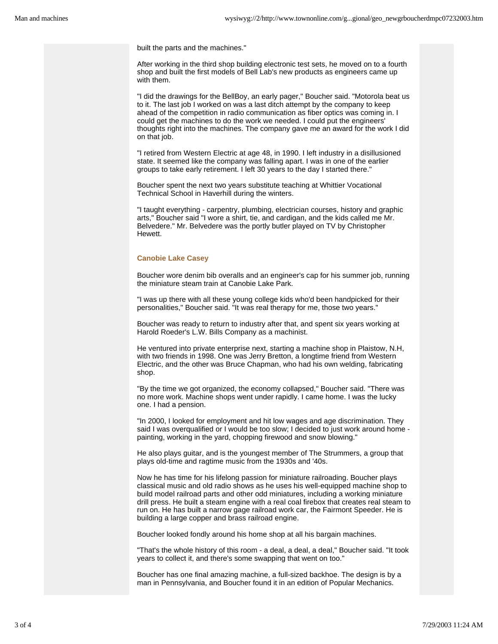built the parts and the machines."

After working in the third shop building electronic test sets, he moved on to a fourth shop and built the first models of Bell Lab's new products as engineers came up with them.

"I did the drawings for the BellBoy, an early pager," Boucher said. "Motorola beat us to it. The last job I worked on was a last ditch attempt by the company to keep ahead of the competition in radio communication as fiber optics was coming in. I could get the machines to do the work we needed. I could put the engineers' thoughts right into the machines. The company gave me an award for the work I did on that job.

"I retired from Western Electric at age 48, in 1990. I left industry in a disillusioned state. It seemed like the company was falling apart. I was in one of the earlier groups to take early retirement. I left 30 years to the day I started there."

Boucher spent the next two years substitute teaching at Whittier Vocational Technical School in Haverhill during the winters.

"I taught everything - carpentry, plumbing, electrician courses, history and graphic arts," Boucher said "I wore a shirt, tie, and cardigan, and the kids called me Mr. Belvedere." Mr. Belvedere was the portly butler played on TV by Christopher Hewett.

## **Canobie Lake Casey**

Boucher wore denim bib overalls and an engineer's cap for his summer job, running the miniature steam train at Canobie Lake Park.

"I was up there with all these young college kids who'd been handpicked for their personalities," Boucher said. "It was real therapy for me, those two years."

Boucher was ready to return to industry after that, and spent six years working at Harold Roeder's L.W. Bills Company as a machinist.

He ventured into private enterprise next, starting a machine shop in Plaistow, N.H, with two friends in 1998. One was Jerry Bretton, a longtime friend from Western Electric, and the other was Bruce Chapman, who had his own welding, fabricating shop.

"By the time we got organized, the economy collapsed," Boucher said. "There was no more work. Machine shops went under rapidly. I came home. I was the lucky one. I had a pension.

"In 2000, I looked for employment and hit low wages and age discrimination. They said I was overqualified or I would be too slow; I decided to just work around home painting, working in the yard, chopping firewood and snow blowing."

He also plays guitar, and is the youngest member of The Strummers, a group that plays old-time and ragtime music from the 1930s and '40s.

Now he has time for his lifelong passion for miniature railroading. Boucher plays classical music and old radio shows as he uses his well-equipped machine shop to build model railroad parts and other odd miniatures, including a working miniature drill press. He built a steam engine with a real coal firebox that creates real steam to run on. He has built a narrow gage railroad work car, the Fairmont Speeder. He is building a large copper and brass railroad engine.

Boucher looked fondly around his home shop at all his bargain machines.

"That's the whole history of this room - a deal, a deal, a deal," Boucher said. "It took years to collect it, and there's some swapping that went on too."

Boucher has one final amazing machine, a full-sized backhoe. The design is by a man in Pennsylvania, and Boucher found it in an edition of Popular Mechanics.